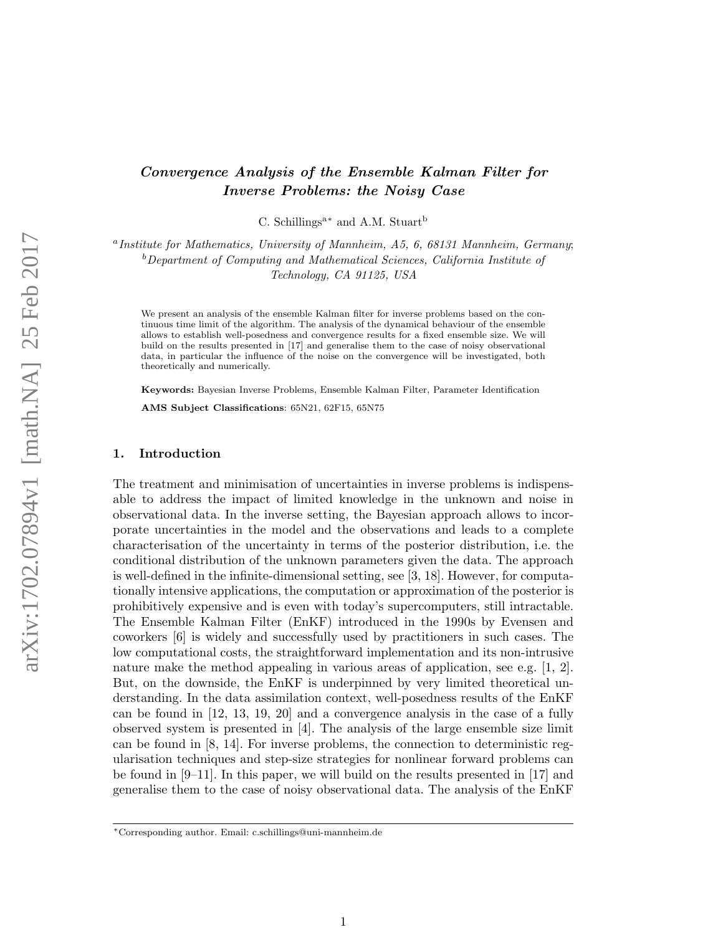# Convergence Analysis of the Ensemble Kalman Filter for Inverse Problems: the Noisy Case

C. Schillings<sup>a\*</sup> and A.M. Stuart<sup>b</sup>

<sup>a</sup> Institute for Mathematics, University of Mannheim, A5, 6, 68131 Mannheim, Germany;  $b$ Department of Computing and Mathematical Sciences, California Institute of Technology, CA 91125, USA

We present an analysis of the ensemble Kalman filter for inverse problems based on the continuous time limit of the algorithm. The analysis of the dynamical behaviour of the ensemble allows to establish well-posedness and convergence results for a fixed ensemble size. We will build on the results presented in [17] and generalise them to the case of noisy observational data, in particular the influence of the noise on the convergence will be investigated, both theoretically and numerically.

Keywords: Bayesian Inverse Problems, Ensemble Kalman Filter, Parameter Identification

AMS Subject Classifications: 65N21, 62F15, 65N75

#### 1. Introduction

The treatment and minimisation of uncertainties in inverse problems is indispensable to address the impact of limited knowledge in the unknown and noise in observational data. In the inverse setting, the Bayesian approach allows to incorporate uncertainties in the model and the observations and leads to a complete characterisation of the uncertainty in terms of the posterior distribution, i.e. the conditional distribution of the unknown parameters given the data. The approach is well-defined in the infinite-dimensional setting, see [3, 18]. However, for computationally intensive applications, the computation or approximation of the posterior is prohibitively expensive and is even with today's supercomputers, still intractable. The Ensemble Kalman Filter (EnKF) introduced in the 1990s by Evensen and coworkers [6] is widely and successfully used by practitioners in such cases. The low computational costs, the straightforward implementation and its non-intrusive nature make the method appealing in various areas of application, see e.g. [1, 2]. But, on the downside, the EnKF is underpinned by very limited theoretical understanding. In the data assimilation context, well-posedness results of the EnKF can be found in [12, 13, 19, 20] and a convergence analysis in the case of a fully observed system is presented in [4]. The analysis of the large ensemble size limit can be found in [8, 14]. For inverse problems, the connection to deterministic regularisation techniques and step-size strategies for nonlinear forward problems can be found in [9–11]. In this paper, we will build on the results presented in [17] and generalise them to the case of noisy observational data. The analysis of the EnKF

<sup>∗</sup>Corresponding author. Email: c.schillings@uni-mannheim.de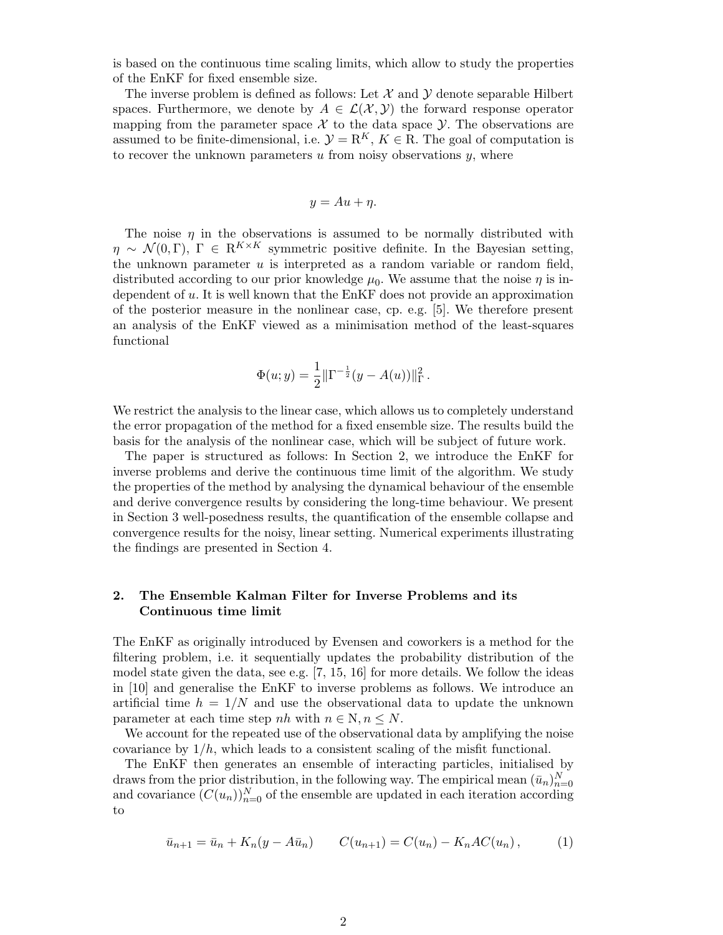is based on the continuous time scaling limits, which allow to study the properties of the EnKF for fixed ensemble size.

The inverse problem is defined as follows: Let  $\mathcal X$  and  $\mathcal Y$  denote separable Hilbert spaces. Furthermore, we denote by  $A \in \mathcal{L}(\mathcal{X}, \mathcal{Y})$  the forward response operator mapping from the parameter space  $\mathcal X$  to the data space  $\mathcal Y$ . The observations are assumed to be finite-dimensional, i.e.  $\mathcal{Y} = \mathbb{R}^K$ ,  $K \in \mathbb{R}$ . The goal of computation is to recover the unknown parameters  $u$  from noisy observations  $y$ , where

$$
y = Au + \eta.
$$

The noise  $\eta$  in the observations is assumed to be normally distributed with  $\eta \sim \mathcal{N}(0, \Gamma)$ ,  $\Gamma \in \mathbb{R}^{K \times K}$  symmetric positive definite. In the Bayesian setting, the unknown parameter  $u$  is interpreted as a random variable or random field, distributed according to our prior knowledge  $\mu_0$ . We assume that the noise  $\eta$  is independent of u. It is well known that the EnKF does not provide an approximation of the posterior measure in the nonlinear case, cp. e.g. [5]. We therefore present an analysis of the EnKF viewed as a minimisation method of the least-squares functional

$$
\Phi(u; y) = \frac{1}{2} \|\Gamma^{-\frac{1}{2}}(y - A(u))\|_{\Gamma}^{2}.
$$

We restrict the analysis to the linear case, which allows us to completely understand the error propagation of the method for a fixed ensemble size. The results build the basis for the analysis of the nonlinear case, which will be subject of future work.

The paper is structured as follows: In Section 2, we introduce the EnKF for inverse problems and derive the continuous time limit of the algorithm. We study the properties of the method by analysing the dynamical behaviour of the ensemble and derive convergence results by considering the long-time behaviour. We present in Section 3 well-posedness results, the quantification of the ensemble collapse and convergence results for the noisy, linear setting. Numerical experiments illustrating the findings are presented in Section 4.

## 2. The Ensemble Kalman Filter for Inverse Problems and its Continuous time limit

The EnKF as originally introduced by Evensen and coworkers is a method for the filtering problem, i.e. it sequentially updates the probability distribution of the model state given the data, see e.g. [7, 15, 16] for more details. We follow the ideas in [10] and generalise the EnKF to inverse problems as follows. We introduce an artificial time  $h = 1/N$  and use the observational data to update the unknown parameter at each time step nh with  $n \in \mathbb{N}, n \leq N$ .

We account for the repeated use of the observational data by amplifying the noise covariance by  $1/h$ , which leads to a consistent scaling of the misfit functional.

The EnKF then generates an ensemble of interacting particles, initialised by draws from the prior distribution, in the following way. The empirical mean  $(\bar{u}_n)_{n=0}^N$ and covariance  $(C(u_n))_{n=0}^N$  of the ensemble are updated in each iteration according to

$$
\bar{u}_{n+1} = \bar{u}_n + K_n(y - A\bar{u}_n) \qquad C(u_{n+1}) = C(u_n) - K_nAC(u_n), \qquad (1)
$$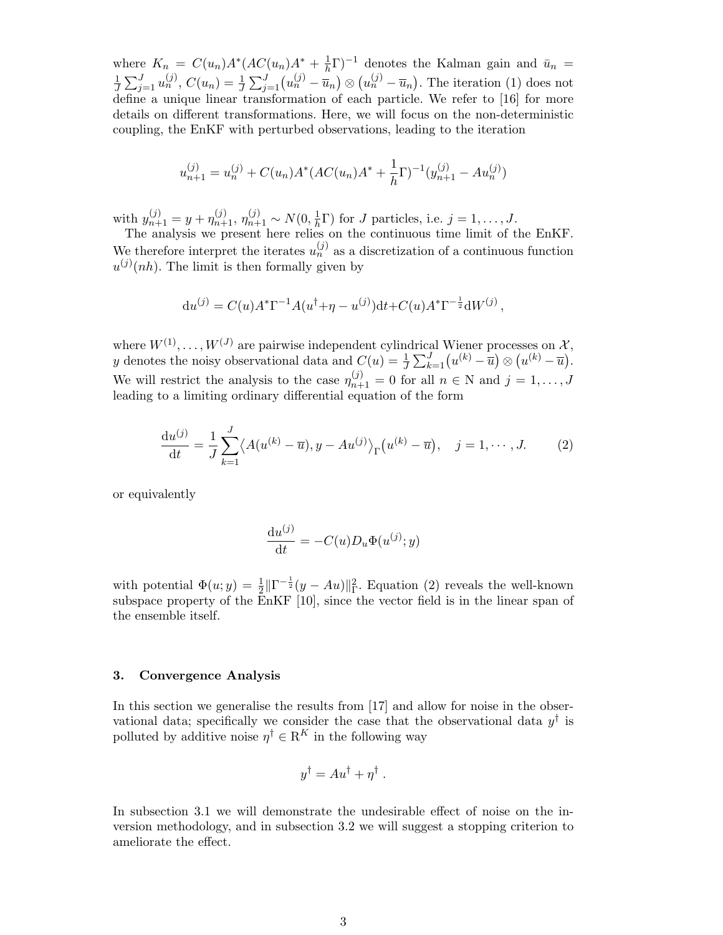where  $K_n = C(u_n)A^* (AC(u_n)A^* + \frac{1}{h})$  $(\frac{1}{h}\Gamma)^{-1}$  denotes the Kalman gain and  $\bar{u}_n =$ 1  $\frac{1}{J}\sum_{j=1}^{J}u_n^{(j)},$   $C(u_n) = \frac{1}{J}\sum_{j=1}^{J}(u_n^{(j)} - \overline{u}_n) \otimes (u_n^{(j)} - \overline{u}_n)$ . The iteration (1) does not define a unique linear transformation of each particle. We refer to [16] for more details on different transformations. Here, we will focus on the non-deterministic coupling, the EnKF with perturbed observations, leading to the iteration

$$
u_{n+1}^{(j)} = u_n^{(j)} + C(u_n)A^*(AC(u_n)A^* + \frac{1}{h}\Gamma)^{-1}(y_{n+1}^{(j)} - Au_n^{(j)})
$$

with  $y_{n+1}^{(j)} = y + \eta_{n+1}^{(j)}$ ,  $\eta_{n+1}^{(j)} \sim N(0, \frac{1}{h})$  $\frac{1}{h}\Gamma$ ) for J particles, i.e.  $j = 1, \ldots, J$ .

The analysis we present here relies on the continuous time limit of the EnKF. We therefore interpret the iterates  $u_n^{(j)}$  as a discretization of a continuous function  $u^{(j)}(nh)$ . The limit is then formally given by

$$
du^{(j)} = C(u)A^* \Gamma^{-1} A(u^{\dagger} + \eta - u^{(j)}) dt + C(u)A^* \Gamma^{-\frac{1}{2}} dW^{(j)},
$$

where  $W^{(1)}, \ldots, W^{(J)}$  are pairwise independent cylindrical Wiener processes on  $\mathcal{X},$ y denotes the noisy observational data and  $C(u) = \frac{1}{J} \sum_{k=1}^{J} (u^{(k)} - \overline{u}) \otimes (u^{(k)} - \overline{u}).$ We will restrict the analysis to the case  $\eta_{n+1}^{(j)} = 0$  for all  $n \in \mathbb{N}$  and  $j = 1, \ldots, J$ leading to a limiting ordinary differential equation of the form

$$
\frac{du^{(j)}}{dt} = \frac{1}{J} \sum_{k=1}^{J} \langle A(u^{(k)} - \overline{u}), y - Au^{(j)} \rangle_{\Gamma}(u^{(k)} - \overline{u}), \quad j = 1, \cdots, J.
$$
 (2)

or equivalently

$$
\frac{\mathrm{d}u^{(j)}}{\mathrm{d}t} = -C(u)D_u \Phi(u^{(j)}; y)
$$

with potential  $\Phi(u; y) = \frac{1}{2} \|\Gamma^{-\frac{1}{2}}(y - Au)\|_{\Gamma}^2$ . Equation (2) reveals the well-known subspace property of the EnKF [10], since the vector field is in the linear span of the ensemble itself.

### 3. Convergence Analysis

In this section we generalise the results from [17] and allow for noise in the observational data; specifically we consider the case that the observational data  $y^{\dagger}$  is polluted by additive noise  $\eta^{\dagger} \in \mathbb{R}^K$  in the following way

$$
y^{\dagger} = Au^{\dagger} + \eta^{\dagger}.
$$

In subsection 3.1 we will demonstrate the undesirable effect of noise on the inversion methodology, and in subsection 3.2 we will suggest a stopping criterion to ameliorate the effect.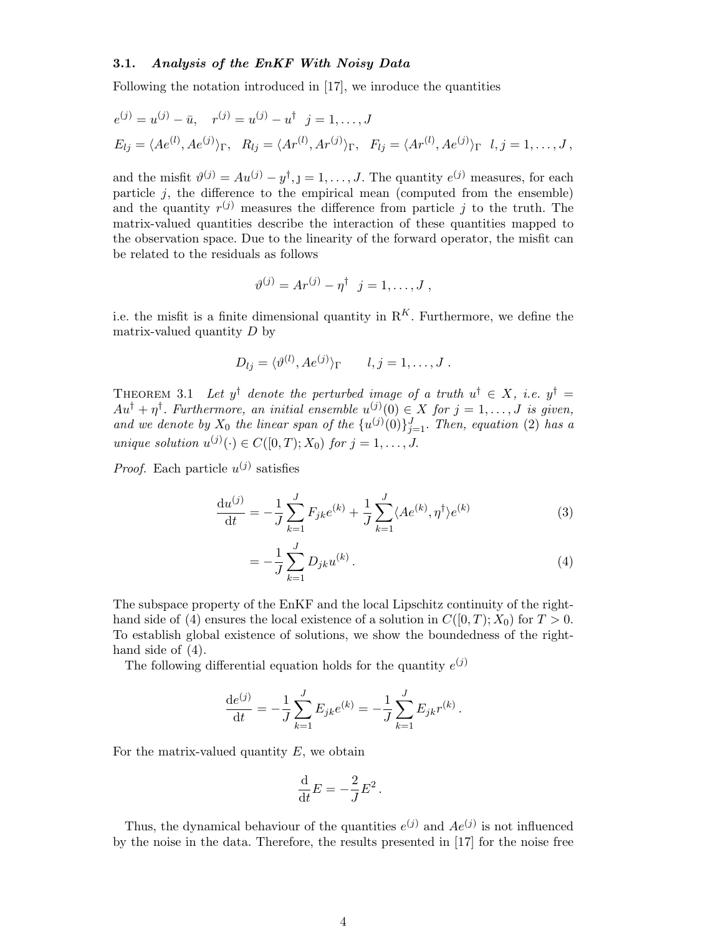#### 3.1. Analysis of the EnKF With Noisy Data

Following the notation introduced in [17], we inroduce the quantities

$$
e^{(j)} = u^{(j)} - \bar{u}, \quad r^{(j)} = u^{(j)} - u^{\dagger}, \quad j = 1, ..., J
$$
  
\n
$$
E_{lj} = \langle Ae^{(l)}, Ae^{(j)}\rangle_{\Gamma}, \quad R_{lj} = \langle Ar^{(l)}, Ar^{(j)}\rangle_{\Gamma}, \quad F_{lj} = \langle Ar^{(l)}, Ae^{(j)}\rangle_{\Gamma}, \quad l, j = 1, ..., J,
$$

and the misfit  $\vartheta^{(j)} = A u^{(j)} - y^{\dagger}, j = 1, \dots, J$ . The quantity  $e^{(j)}$  measures, for each particle  $j$ , the difference to the empirical mean (computed from the ensemble) and the quantity  $r^{(j)}$  measures the difference from particle j to the truth. The matrix-valued quantities describe the interaction of these quantities mapped to the observation space. Due to the linearity of the forward operator, the misfit can be related to the residuals as follows

$$
\vartheta^{(j)} = Ar^{(j)} - \eta^{\dagger} \ \ j = 1, \ldots, J \ ,
$$

i.e. the misfit is a finite dimensional quantity in  $R<sup>K</sup>$ . Furthermore, we define the matrix-valued quantity  $D$  by

$$
D_{lj} = \langle \vartheta^{(l)}, A e^{(j)} \rangle_{\Gamma} \qquad l, j = 1, \dots, J.
$$

THEOREM 3.1 Let  $y^{\dagger}$  denote the perturbed image of a truth  $u^{\dagger} \in X$ , i.e.  $y^{\dagger} =$  $Au^{\dagger} + \eta^{\dagger}$ . Furthermore, an initial ensemble  $u^{(j)}(0) \in X$  for  $j = 1, \ldots, J$  is given, and we denote by  $X_0$  the linear span of the  $\{u^{(j)}(0)\}_{j=1}^J$ . Then, equation (2) has a unique solution  $u^{(j)}(\cdot) \in C([0,T);X_0)$  for  $j = 1,\ldots, J$ .

*Proof.* Each particle  $u^{(j)}$  satisfies

$$
\frac{\mathrm{d}u^{(j)}}{\mathrm{d}t} = -\frac{1}{J} \sum_{k=1}^{J} F_{jk} e^{(k)} + \frac{1}{J} \sum_{k=1}^{J} \langle Ae^{(k)}, \eta^{\dagger} \rangle e^{(k)} \tag{3}
$$

$$
= -\frac{1}{J} \sum_{k=1}^{J} D_{jk} u^{(k)}.
$$
\n(4)

The subspace property of the EnKF and the local Lipschitz continuity of the righthand side of (4) ensures the local existence of a solution in  $C([0, T); X_0)$  for  $T > 0$ . To establish global existence of solutions, we show the boundedness of the righthand side of  $(4)$ .

The following differential equation holds for the quantity  $e^{(j)}$ 

$$
\frac{\mathrm{d}e^{(j)}}{\mathrm{d}t} = -\frac{1}{J} \sum_{k=1}^{J} E_{jk} e^{(k)} = -\frac{1}{J} \sum_{k=1}^{J} E_{jk} r^{(k)}.
$$

For the matrix-valued quantity  $E$ , we obtain

$$
\frac{\mathrm{d}}{\mathrm{d}t}E = -\frac{2}{J}E^2.
$$

Thus, the dynamical behaviour of the quantities  $e^{(j)}$  and  $Ae^{(j)}$  is not influenced by the noise in the data. Therefore, the results presented in [17] for the noise free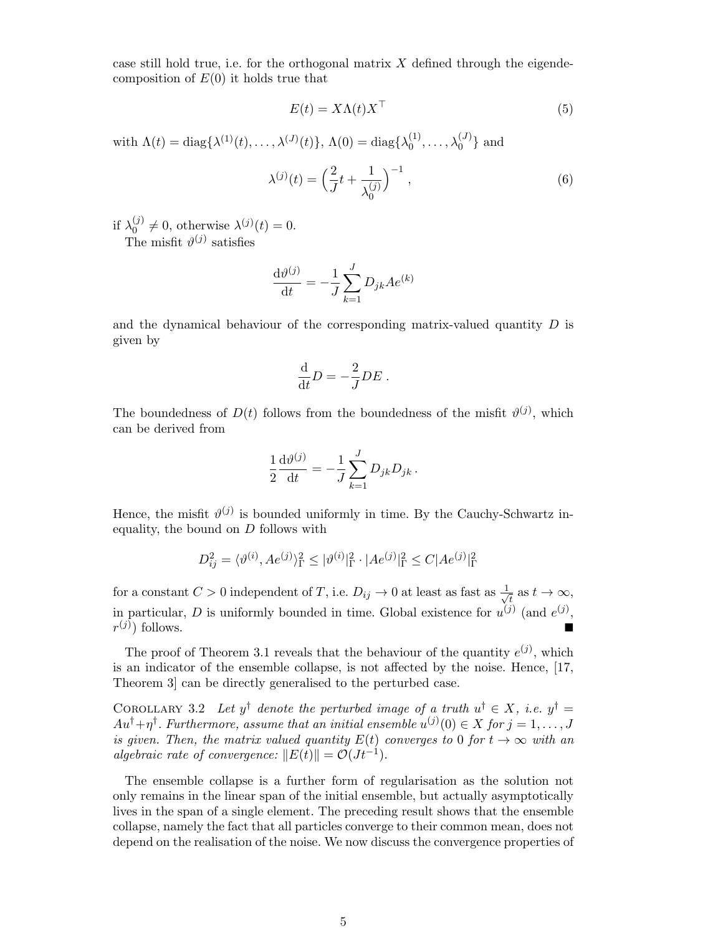case still hold true, i.e. for the orthogonal matrix  $X$  defined through the eigendecomposition of  $E(0)$  it holds true that

$$
E(t) = X\Lambda(t)X^{\top}
$$
\n(5)

with  $\Lambda(t) = \text{diag}\{\lambda^{(1)}(t), \ldots, \lambda^{(J)}(t)\}, \Lambda(0) = \text{diag}\{\lambda_0^{(1)}\}$  $\{^{(1)}_{0}, \ldots, \lambda^{(J)}_{0}\}$  and

$$
\lambda^{(j)}(t) = \left(\frac{2}{J}t + \frac{1}{\lambda_0^{(j)}}\right)^{-1},\tag{6}
$$

if  $\lambda_0^{(j)}$  $\lambda^{(j)} \neq 0$ , otherwise  $\lambda^{(j)}(t) = 0$ . The misfit  $\vartheta^{(j)}$  satisfies

$$
\frac{\mathrm{d}\vartheta^{(j)}}{\mathrm{d}t} = -\frac{1}{J} \sum_{k=1}^{J} D_{jk} A e^{(k)}
$$

and the dynamical behaviour of the corresponding matrix-valued quantity  $D$  is given by

$$
\frac{\mathrm{d}}{\mathrm{d}t}D = -\frac{2}{J}DE.
$$

The boundedness of  $D(t)$  follows from the boundedness of the misfit  $\vartheta^{(j)}$ , which can be derived from

$$
\frac{1}{2}\frac{\mathrm{d}\vartheta^{(j)}}{\mathrm{d}t} = -\frac{1}{J}\sum_{k=1}^{J} D_{jk}D_{jk}.
$$

Hence, the misfit  $\vartheta^{(j)}$  is bounded uniformly in time. By the Cauchy-Schwartz inequality, the bound on  $D$  follows with

$$
D_{ij}^2 = \langle \vartheta^{(i)}, Ae^{(j)} \rangle_{\Gamma}^2 \leq |\vartheta^{(i)}|_{\Gamma}^2 \cdot |Ae^{(j)}|_{\Gamma}^2 \leq C|Ae^{(j)}|_{\Gamma}^2
$$

for a constant  $C > 0$  independent of T, i.e.  $D_{ij} \to 0$  at least as fast as  $\frac{1}{\sqrt{2}}$  $\frac{1}{t}$  as  $t \to \infty$ , in particular, D is uniformly bounded in time. Global existence for  $u^{(j)}$  (and  $e^{(j)}$ ,  $r^{(j)}$ ) follows.

The proof of Theorem 3.1 reveals that the behaviour of the quantity  $e^{(j)}$ , which is an indicator of the ensemble collapse, is not affected by the noise. Hence, [17, Theorem 3] can be directly generalised to the perturbed case.

COROLLARY 3.2 Let  $y^{\dagger}$  denote the perturbed image of a truth  $u^{\dagger} \in X$ , i.e.  $y^{\dagger} =$  $Au^{\dagger} + \eta^{\dagger}$ . Furthermore, assume that an initial ensemble  $u^{(j)}(0) \in X$  for  $j = 1, \ldots, J$ is given. Then, the matrix valued quantity  $E(t)$  converges to 0 for  $t \to \infty$  with an algebraic rate of convergence:  $||E(t)|| = \mathcal{O}(J t^{-1}).$ 

The ensemble collapse is a further form of regularisation as the solution not only remains in the linear span of the initial ensemble, but actually asymptotically lives in the span of a single element. The preceding result shows that the ensemble collapse, namely the fact that all particles converge to their common mean, does not depend on the realisation of the noise. We now discuss the convergence properties of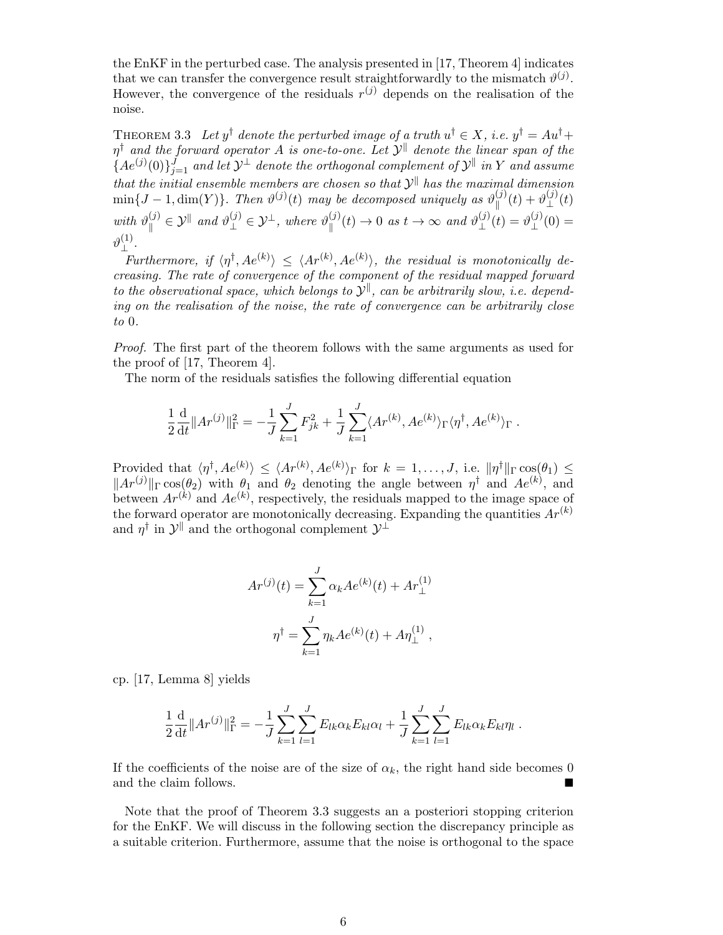the EnKF in the perturbed case. The analysis presented in [17, Theorem 4] indicates that we can transfer the convergence result straightforwardly to the mismatch  $\vartheta^{(j)}$ . However, the convergence of the residuals  $r^{(j)}$  depends on the realisation of the noise.

THEOREM 3.3 Let  $y^{\dagger}$  denote the perturbed image of a truth  $u^{\dagger} \in X$ , i.e.  $y^{\dagger} = Au^{\dagger} +$  $\eta^\dagger$  and the forward operator A is one-to-one. Let  $\mathcal{Y}^\parallel$  denote the linear span of the  $\{Ae^{(j)}(0)\}_{j=1}^J$  and let  $\mathcal{Y}^\perp$  denote the orthogonal complement of  $\mathcal{Y}^\parallel$  in Y and assume that the initial ensemble members are chosen so that  $\mathcal{Y}^{\parallel}$  has the maximal dimension  $\min\{J-1,\dim(Y)\}\.$  Then  $\vartheta^{(j)}(t)$  may be decomposed uniquely as  $\vartheta^{(j)}_{\parallel}$  $\frac{f^{(j)}(t)+\vartheta_\perp^{(j)}}{\pi}$  $\mathcal{L}^{(J)}(t)$ with  $\vartheta_{\parallel}^{(j)}$  $\mathcal{L}_{\parallel}^{(j)} \in \mathcal{Y}^{\parallel}$  and  $\vartheta_{\perp}^{(j)} \in \mathcal{Y}^{\perp}$ , where  $\vartheta_{\parallel}^{(j)}$  $\psi^{(j)}_{\parallel}(t) \to 0$  as  $t \to \infty$  and  $\vartheta^{(j)}_{\perp}$  $\mathcal{L}^{(j)}_{\perp}(t)=\vartheta_{\perp}^{(j)}$  $_{\perp}^{(J)}(0) =$  $\vartheta^{(1)}_\perp$ ⊥ .

Furthermore, if  $\langle \eta^{\dagger}, A e^{(k)} \rangle \leq \langle A r^{(k)}, A e^{(k)} \rangle$ , the residual is monotonically decreasing. The rate of convergence of the component of the residual mapped forward to the observational space, which belongs to  $\mathcal{Y}^{\parallel}$ , can be arbitrarily slow, i.e. depending on the realisation of the noise, the rate of convergence can be arbitrarily close to 0.

Proof. The first part of the theorem follows with the same arguments as used for the proof of [17, Theorem 4].

The norm of the residuals satisfies the following differential equation

$$
\frac{1}{2}\frac{\mathrm{d}}{\mathrm{d}t}||Ar^{(j)}||_{\Gamma}^{2} = -\frac{1}{J}\sum_{k=1}^{J}F_{jk}^{2} + \frac{1}{J}\sum_{k=1}^{J}\langle Ar^{(k)}, Ae^{(k)}\rangle_{\Gamma}\langle\eta^{\dagger}, Ae^{(k)}\rangle_{\Gamma}.
$$

Provided that  $\langle \eta^{\dagger}, Ae^{(k)} \rangle \leq \langle Ar^{(k)}, Ae^{(k)} \rangle_{\Gamma}$  for  $k = 1, \ldots, J$ , i.e.  $\|\eta^{\dagger}\|_{\Gamma} \cos(\theta_1) \leq$  $||Ar^{(j)}||_{\Gamma}\cos(\theta_2)$  with  $\theta_1$  and  $\theta_2$  denoting the angle between  $\eta^{\dagger}$  and  $Ae^{(k)}$ , and between  $Ar^{(k)}$  and  $Ae^{(k)}$ , respectively, the residuals mapped to the image space of the forward operator are monotonically decreasing. Expanding the quantities  $Ar^{(k)}$ and  $\eta^{\dagger}$  in  $\mathcal{Y}^{\parallel}$  and the orthogonal complement  $\mathcal{Y}^{\perp}$ 

$$
Ar^{(j)}(t) = \sum_{k=1}^{J} \alpha_k Ae^{(k)}(t) + Ar_{\perp}^{(1)}
$$

$$
\eta^{\dagger} = \sum_{k=1}^{J} \eta_k Ae^{(k)}(t) + A\eta_{\perp}^{(1)},
$$

cp. [17, Lemma 8] yields

$$
\frac{1}{2}\frac{\mathrm{d}}{\mathrm{d}t}||Ar^{(j)}||_{\Gamma}^{2} = -\frac{1}{J}\sum_{k=1}^{J}\sum_{l=1}^{J}E_{lk}\alpha_{k}E_{kl}\alpha_{l} + \frac{1}{J}\sum_{k=1}^{J}\sum_{l=1}^{J}E_{lk}\alpha_{k}E_{kl}\eta_{l}.
$$

If the coefficients of the noise are of the size of  $\alpha_k$ , the right hand side becomes 0 and the claim follows.

Note that the proof of Theorem 3.3 suggests an a posteriori stopping criterion for the EnKF. We will discuss in the following section the discrepancy principle as a suitable criterion. Furthermore, assume that the noise is orthogonal to the space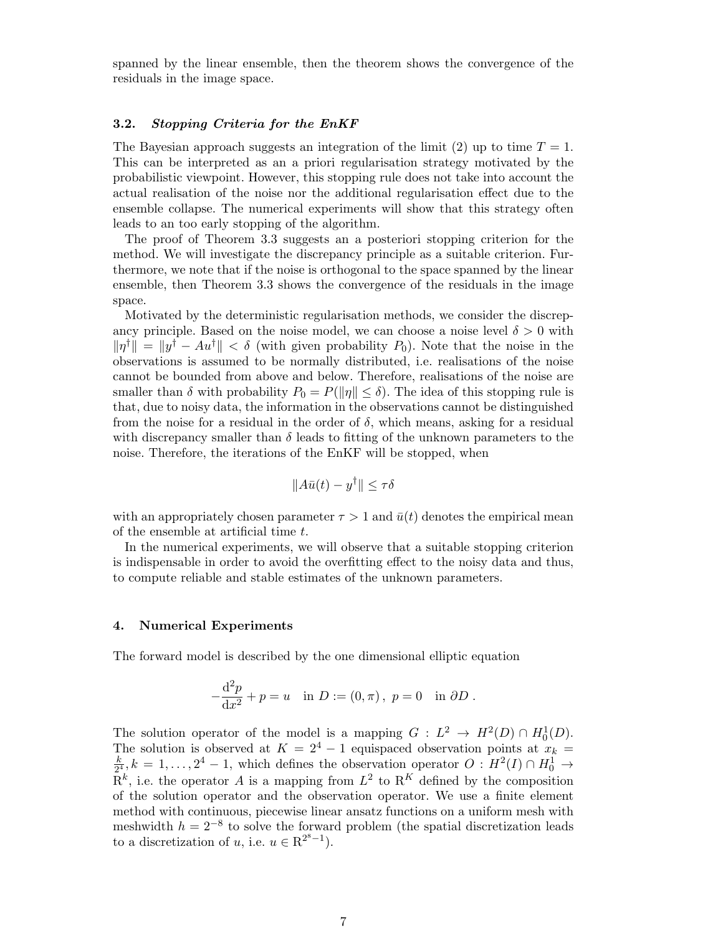spanned by the linear ensemble, then the theorem shows the convergence of the residuals in the image space.

#### 3.2. Stopping Criteria for the EnKF

The Bayesian approach suggests an integration of the limit (2) up to time  $T = 1$ . This can be interpreted as an a priori regularisation strategy motivated by the probabilistic viewpoint. However, this stopping rule does not take into account the actual realisation of the noise nor the additional regularisation effect due to the ensemble collapse. The numerical experiments will show that this strategy often leads to an too early stopping of the algorithm.

The proof of Theorem 3.3 suggests an a posteriori stopping criterion for the method. We will investigate the discrepancy principle as a suitable criterion. Furthermore, we note that if the noise is orthogonal to the space spanned by the linear ensemble, then Theorem 3.3 shows the convergence of the residuals in the image space.

Motivated by the deterministic regularisation methods, we consider the discrepancy principle. Based on the noise model, we can choose a noise level  $\delta > 0$  with  $\|\eta^{\dagger}\| = \|y^{\dagger} - Au^{\dagger}\| < \delta$  (with given probability  $P_0$ ). Note that the noise in the observations is assumed to be normally distributed, i.e. realisations of the noise cannot be bounded from above and below. Therefore, realisations of the noise are smaller than  $\delta$  with probability  $P_0 = P(||\eta|| \leq \delta)$ . The idea of this stopping rule is that, due to noisy data, the information in the observations cannot be distinguished from the noise for a residual in the order of  $\delta$ , which means, asking for a residual with discrepancy smaller than  $\delta$  leads to fitting of the unknown parameters to the noise. Therefore, the iterations of the EnKF will be stopped, when

$$
||A\bar{u}(t) - y^{\dagger}|| \leq \tau \delta
$$

with an appropriately chosen parameter  $\tau > 1$  and  $\bar{u}(t)$  denotes the empirical mean of the ensemble at artificial time t.

In the numerical experiments, we will observe that a suitable stopping criterion is indispensable in order to avoid the overfitting effect to the noisy data and thus, to compute reliable and stable estimates of the unknown parameters.

#### 4. Numerical Experiments

The forward model is described by the one dimensional elliptic equation

$$
-\frac{d^2p}{dx^2} + p = u \text{ in } D := (0, \pi), \ p = 0 \text{ in } \partial D.
$$

The solution operator of the model is a mapping  $G: L^2 \to H^2(D) \cap H^1_0(D)$ . The solution operator of the model is a mapping  $G: L \to H(D) \cap H_0(D)$ .<br>The solution is observed at  $K = 2^4 - 1$  equispaced observation points at  $x_k =$ k  $\frac{k}{2^4}$ ,  $k = 1, \ldots, 2^4 - 1$ , which defines the observation operator  $O: H^2(I) \cap H_0^1 \to$  $\mathbb{R}^k$ , i.e. the operator A is a mapping from  $L^2$  to  $\mathbb{R}^K$  defined by the composition of the solution operator and the observation operator. We use a finite element method with continuous, piecewise linear ansatz functions on a uniform mesh with meshwidth  $h = 2^{-8}$  to solve the forward problem (the spatial discretization leads to a discretization of u, i.e.  $u \in \mathbb{R}^{2^8 - 1}$ ).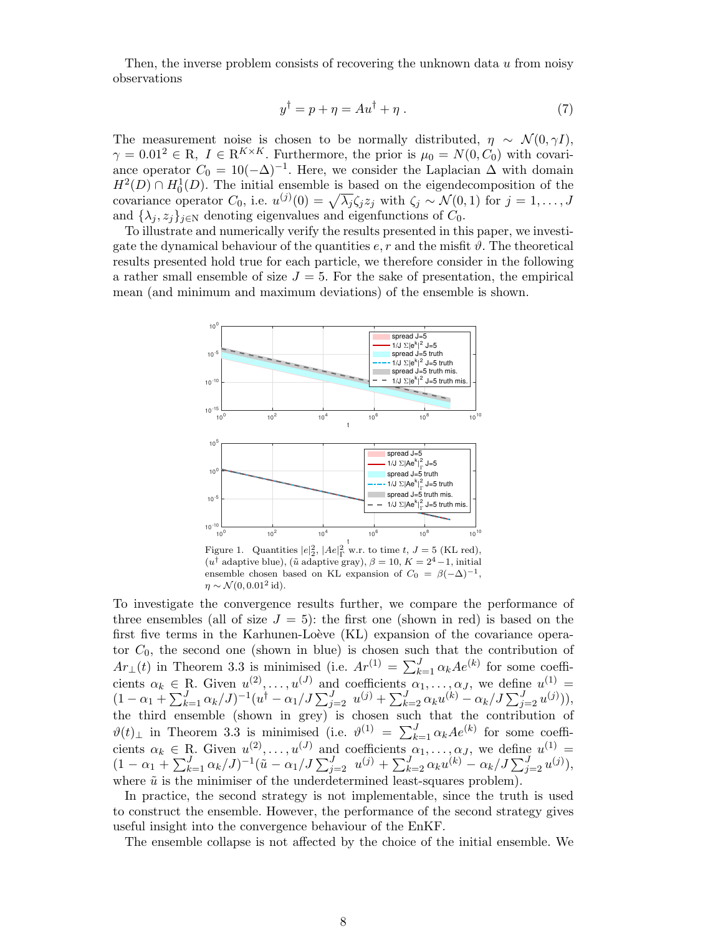Then, the inverse problem consists of recovering the unknown data  $u$  from noisy observations

$$
y^{\dagger} = p + \eta = Au^{\dagger} + \eta . \tag{7}
$$

The measurement noise is chosen to be normally distributed,  $\eta \sim \mathcal{N}(0, \gamma I)$ ,  $\gamma = 0.01^2 \in \mathbb{R}, I \in \mathbb{R}^{K \times K}$ . Furthermore, the prior is  $\mu_0 = N(0, C_0)$  with covariance operator  $C_0 = 10(-\Delta)^{-1}$ . Here, we consider the Laplacian  $\Delta$  with domain  $H^2(D) \cap H_0^1(D)$ . The initial ensemble is based on the eigendecomposition of the covariance operator  $C_0$ , i.e.  $u^{(j)}(0) = \sqrt{\lambda_j} \zeta_j z_j$  with  $\zeta_j \sim \mathcal{N}(0, 1)$  for  $j = 1, ..., J$ and  $\{\lambda_i, z_i\}_{i\in\mathbb{N}}$  denoting eigenvalues and eigenfunctions of  $C_0$ .

To illustrate and numerically verify the results presented in this paper, we investigate the dynamical behaviour of the quantities  $e, r$  and the misfit  $\vartheta$ . The theoretical results presented hold true for each particle, we therefore consider in the following a rather small ensemble of size  $J = 5$ . For the sake of presentation, the empirical mean (and minimum and maximum deviations) of the ensemble is shown.



Figure 1. Quantities  $|e|_2^2$ ,  $|Ae|_1^2$  w.r. to time  $t, J = 5$  (KL red),  $(u^{\dagger})$  adaptive blue),  $(\tilde{u})$  adaptive gray),  $\beta = 10, K = 2^4 - 1$ , initial ensemble chosen based on KL expansion of  $C_0 = \beta(-\Delta)^{-1}$ ,  $\eta \sim \mathcal{N}(0, 0.01^2 \text{ id}).$ 

To investigate the convergence results further, we compare the performance of three ensembles (all of size  $J = 5$ ): the first one (shown in red) is based on the first five terms in the Karhunen-Loève (KL) expansion of the covariance operator  $C_0$ , the second one (shown in blue) is chosen such that the contribution of  $Ar_{\perp}(t)$  in Theorem 3.3 is minimised (i.e.  $Ar^{(1)} = \sum_{k=1}^{J} \alpha_k Ae^{(k)}$  for some coefficients  $\alpha_k \in \mathbb{R}$ . Given  $u^{(2)}, \ldots, u^{(J)}$  and coefficients  $\alpha_1, \ldots, \alpha_J$ , we define  $u^{(1)}$  =  $(1 - \alpha_1 + \sum_{k=1}^J \alpha_k / J)^{-1} (u^{\dagger} - \alpha_1 / J \sum_{j=2}^J u^{(j)} + \sum_{k=2}^J \alpha_k u^{(k)} - \alpha_k / J \sum_{j=2}^J u^{(j)})),$ the third ensemble (shown in grey) is chosen such that the contribution of  $\vartheta(t)$ <sub>⊥</sub> in Theorem 3.3 is minimised (i.e.  $\vartheta^{(1)} = \sum_{k=1}^{J} \alpha_k Ae^{(k)}$  for some coefficients  $\alpha_k \in \mathbb{R}$ . Given  $u^{(2)}, \ldots, u^{(J)}$  and coefficients  $\alpha_1, \ldots, \alpha_J$ , we define  $u^{(1)} =$  $(1 - \alpha_1 + \sum_{k=1}^J \alpha_k / J)^{-1} (\tilde{u} - \alpha_1 / J \sum_{j=2}^J u^{(j)} + \sum_{k=2}^J \alpha_k u^{(k)} - \alpha_k / J \sum_{j=2}^J u^{(j)}),$ where  $\tilde{u}$  is the minimiser of the underdetermined least-squares problem).

In practice, the second strategy is not implementable, since the truth is used to construct the ensemble. However, the performance of the second strategy gives useful insight into the convergence behaviour of the EnKF.

The ensemble collapse is not affected by the choice of the initial ensemble. We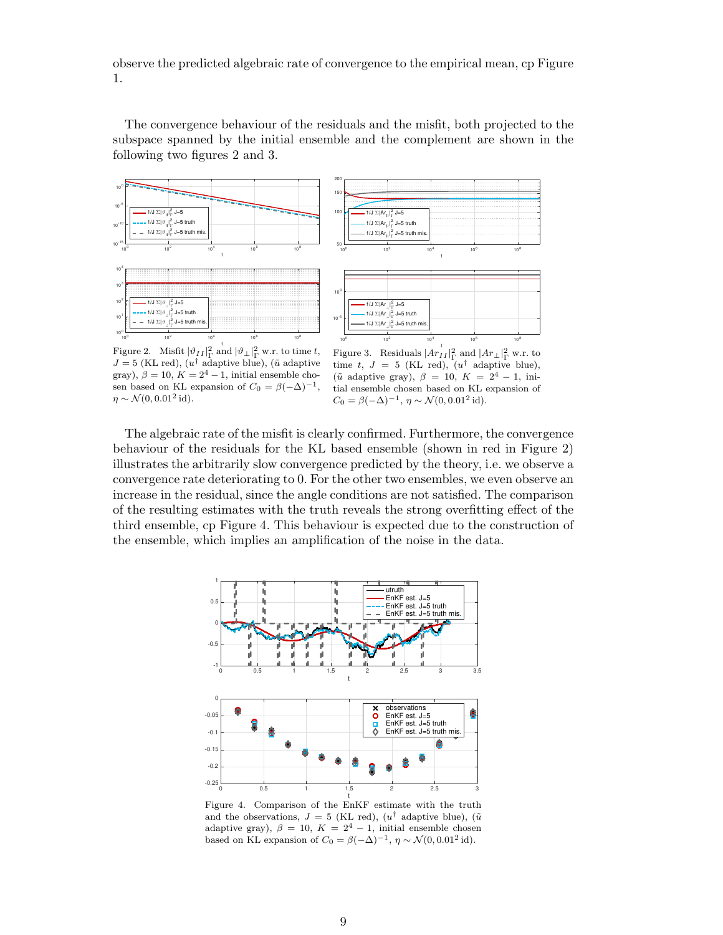observe the predicted algebraic rate of convergence to the empirical mean, cp Figure 1.

The convergence behaviour of the residuals and the misfit, both projected to the subspace spanned by the initial ensemble and the complement are shown in the following two figures 2 and 3.



Figure 2. Misfit  $|\vartheta_{II}|^2_{\Gamma}$  and  $|\vartheta_{\perp}|^2_{\Gamma}$  w.r. to time t,  $J=5$  (KL red),  $(u^{\dagger})$  adaptive blue),  $(\tilde{u})$  adaptive gray),  $\beta = 10$ ,  $K = 2<sup>4</sup> - 1$ , initial ensemble chosen based on KL expansion of  $C_0 = \beta(-\Delta)^{-1}$ ,  $\eta \sim \mathcal{N}(0, 0.01^2 \,\mathrm{id}).$ 

Figure 3. Residuals  $|Ar_{II}|^2_{\Gamma}$  and  $|Ar_{\perp}|^2_{\Gamma}$  w.r. to time t,  $J = 5$  (KL red),  $(u^{\dagger})$  adaptive blue), ( $\tilde{u}$  adaptive gray),  $\beta = 10$ ,  $K = 2^4 - 1$ , initial ensemble chosen based on KL expansion of  $C_0 = \beta(-\Delta)^{-1}, \eta \sim \mathcal{N}(0, 0.01^2 \text{ id}).$ 

The algebraic rate of the misfit is clearly confirmed. Furthermore, the convergence behaviour of the residuals for the KL based ensemble (shown in red in Figure 2) illustrates the arbitrarily slow convergence predicted by the theory, i.e. we observe a convergence rate deteriorating to 0. For the other two ensembles, we even observe an increase in the residual, since the angle conditions are not satisfied. The comparison of the resulting estimates with the truth reveals the strong overfitting effect of the third ensemble, cp Figure 4. This behaviour is expected due to the construction of the ensemble, which implies an amplification of the noise in the data.



t Figure 4. Comparison of the EnKF estimate with the truth and the observations,  $J = 5$  (KL red),  $(u^{\dagger})$  adaptive blue),  $(\tilde{u})$ adaptive gray),  $\beta = 10$ ,  $K = 2^4 - 1$ , initial ensemble chosen based on KL expansion of  $C_0 = \beta(-\Delta)^{-1}$ ,  $\eta \sim \mathcal{N}(0, 0.01^2 \text{ id})$ .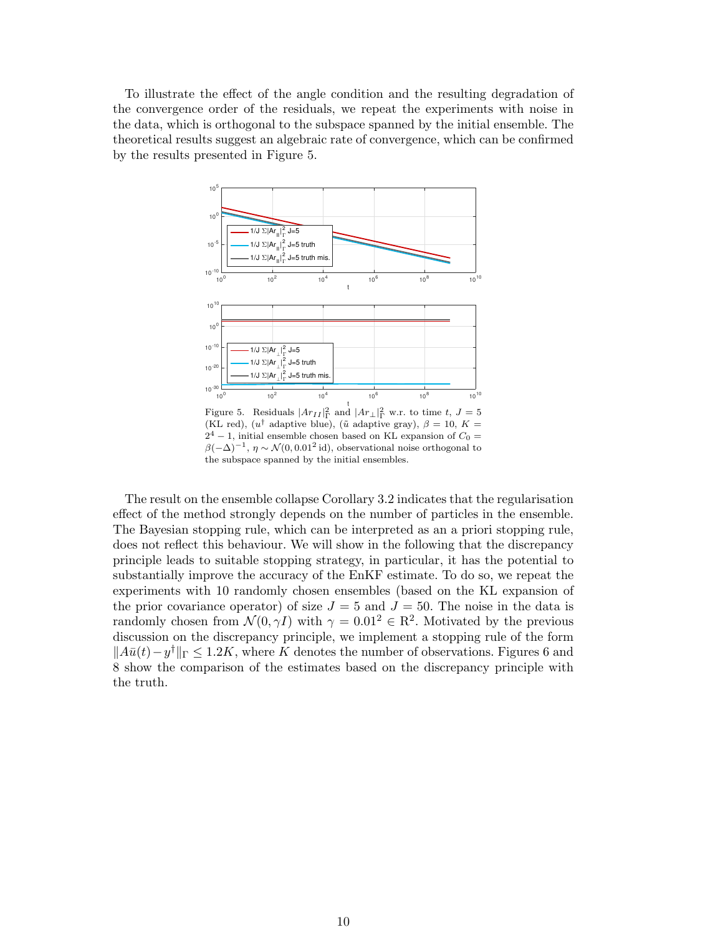To illustrate the effect of the angle condition and the resulting degradation of the convergence order of the residuals, we repeat the experiments with noise in the data, which is orthogonal to the subspace spanned by the initial ensemble. The theoretical results suggest an algebraic rate of convergence, which can be confirmed by the results presented in Figure 5.



Figure 5. Residuals  $|Ar_{II}|^2_{\Gamma}$  and  $|Ar_{\perp}|^2_{\Gamma}$  w.r. to time t,  $J=5$ (KL red),  $(u^{\dagger})$  adaptive blue),  $(\tilde{u})$  adaptive gray),  $\beta = 10$ ,  $K =$  $2^4 - 1$ , initial ensemble chosen based on KL expansion of  $C_0 =$  $\beta(-\Delta)^{-1}$ ,  $\eta \sim \mathcal{N}(0, 0.01^2 \text{ id})$ , observational noise orthogonal to the subspace spanned by the initial ensembles.

The result on the ensemble collapse Corollary 3.2 indicates that the regularisation effect of the method strongly depends on the number of particles in the ensemble. The Bayesian stopping rule, which can be interpreted as an a priori stopping rule, does not reflect this behaviour. We will show in the following that the discrepancy principle leads to suitable stopping strategy, in particular, it has the potential to substantially improve the accuracy of the EnKF estimate. To do so, we repeat the experiments with 10 randomly chosen ensembles (based on the KL expansion of the prior covariance operator) of size  $J = 5$  and  $J = 50$ . The noise in the data is randomly chosen from  $\mathcal{N}(0, \gamma I)$  with  $\gamma = 0.01^2 \in \mathbb{R}^2$ . Motivated by the previous discussion on the discrepancy principle, we implement a stopping rule of the form  $||A\bar{u}(t) - y^{\dagger}||$ <sub>Γ</sub> ≤ 1.2K, where K denotes the number of observations. Figures 6 and 8 show the comparison of the estimates based on the discrepancy principle with the truth.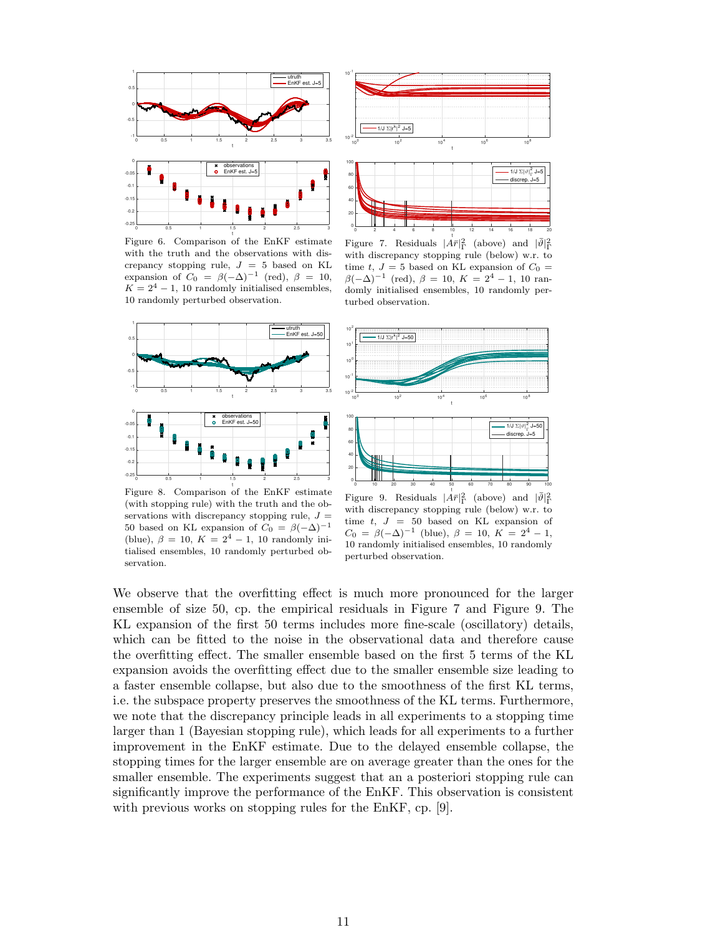

Figure 6. Comparison of the EnKF estimate with the truth and the observations with discrepancy stopping rule,  $J = 5$  based on KL expansion of  $C_0 = \beta(-\Delta)^{-1}$  (red),  $\beta = 10$ ,  $K = 2<sup>4</sup> - 1$ , 10 randomly initialised ensembles, 10 randomly perturbed observation.







Figure 7. Residuals  $|\dot{A}\overline{r}|^2_{\Gamma}$  (above) and  $|\overline{\vartheta}|^2_{\Gamma}$ with discrepancy stopping rule (below) w.r. to time t,  $J = 5$  based on KL expansion of  $C_0 =$  $\beta(-\Delta)^{-1}$  (red),  $\beta = 10, K = 2^4 - 1, 10$  randomly initialised ensembles, 10 randomly perturbed observation.



Figure 8. Comparison of the EnKF estimate (with stopping rule) with the truth and the observations with discrepancy stopping rule,  $J =$ 50 based on KL expansion of  $C_0 = \beta(-\Delta)^{-1}$ (blue),  $\beta = 10$ ,  $K = 2^4 - 1$ , 10 randomly initialised ensembles, 10 randomly perturbed observation.

Figure 9. Residuals  $|\dot{A}\overline{r}|^2_{\Gamma}$  (above) and  $|\overline{\vartheta}|^2_{\Gamma}$ with discrepancy stopping rule (below) w.r. to time  $t, J = 50$  based on KL expansion of  $C_0 = \beta(-\Delta)^{-1}$  (blue),  $\beta = 10, K = 2^4 - 1$ , 10 randomly initialised ensembles, 10 randomly perturbed observation.

We observe that the overfitting effect is much more pronounced for the larger ensemble of size 50, cp. the empirical residuals in Figure 7 and Figure 9. The KL expansion of the first 50 terms includes more fine-scale (oscillatory) details, which can be fitted to the noise in the observational data and therefore cause the overfitting effect. The smaller ensemble based on the first 5 terms of the KL expansion avoids the overfitting effect due to the smaller ensemble size leading to a faster ensemble collapse, but also due to the smoothness of the first KL terms, i.e. the subspace property preserves the smoothness of the KL terms. Furthermore, we note that the discrepancy principle leads in all experiments to a stopping time larger than 1 (Bayesian stopping rule), which leads for all experiments to a further improvement in the EnKF estimate. Due to the delayed ensemble collapse, the stopping times for the larger ensemble are on average greater than the ones for the smaller ensemble. The experiments suggest that an a posteriori stopping rule can significantly improve the performance of the EnKF. This observation is consistent with previous works on stopping rules for the EnKF, cp. [9].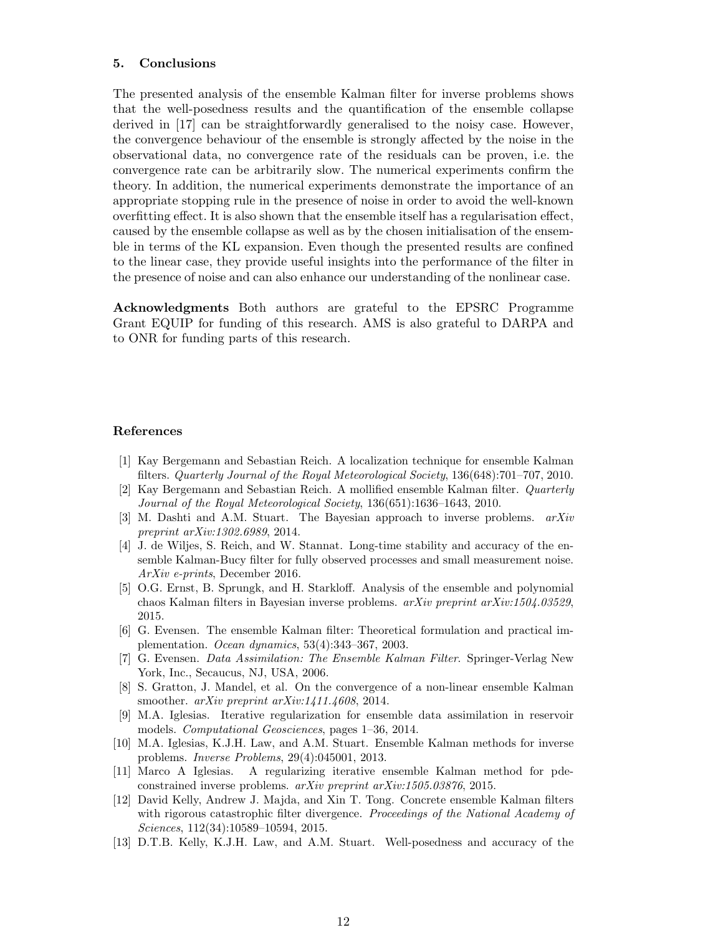#### 5. Conclusions

The presented analysis of the ensemble Kalman filter for inverse problems shows that the well-posedness results and the quantification of the ensemble collapse derived in [17] can be straightforwardly generalised to the noisy case. However, the convergence behaviour of the ensemble is strongly affected by the noise in the observational data, no convergence rate of the residuals can be proven, i.e. the convergence rate can be arbitrarily slow. The numerical experiments confirm the theory. In addition, the numerical experiments demonstrate the importance of an appropriate stopping rule in the presence of noise in order to avoid the well-known overfitting effect. It is also shown that the ensemble itself has a regularisation effect, caused by the ensemble collapse as well as by the chosen initialisation of the ensemble in terms of the KL expansion. Even though the presented results are confined to the linear case, they provide useful insights into the performance of the filter in the presence of noise and can also enhance our understanding of the nonlinear case.

Acknowledgments Both authors are grateful to the EPSRC Programme Grant EQUIP for funding of this research. AMS is also grateful to DARPA and to ONR for funding parts of this research.

#### References

- [1] Kay Bergemann and Sebastian Reich. A localization technique for ensemble Kalman filters. Quarterly Journal of the Royal Meteorological Society, 136(648):701–707, 2010.
- [2] Kay Bergemann and Sebastian Reich. A mollified ensemble Kalman filter. Quarterly Journal of the Royal Meteorological Society, 136(651):1636–1643, 2010.
- [3] M. Dashti and A.M. Stuart. The Bayesian approach to inverse problems. arXiv preprint arXiv:1302.6989, 2014.
- [4] J. de Wiljes, S. Reich, and W. Stannat. Long-time stability and accuracy of the ensemble Kalman-Bucy filter for fully observed processes and small measurement noise. ArXiv e-prints, December 2016.
- [5] O.G. Ernst, B. Sprungk, and H. Starkloff. Analysis of the ensemble and polynomial chaos Kalman filters in Bayesian inverse problems.  $arXiv$  preprint  $arXiv:1504.03529$ , 2015.
- [6] G. Evensen. The ensemble Kalman filter: Theoretical formulation and practical implementation. Ocean dynamics, 53(4):343–367, 2003.
- [7] G. Evensen. Data Assimilation: The Ensemble Kalman Filter. Springer-Verlag New York, Inc., Secaucus, NJ, USA, 2006.
- [8] S. Gratton, J. Mandel, et al. On the convergence of a non-linear ensemble Kalman smoother. *arXiv preprint arXiv:1411.4608*, 2014.
- [9] M.A. Iglesias. Iterative regularization for ensemble data assimilation in reservoir models. Computational Geosciences, pages 1–36, 2014.
- [10] M.A. Iglesias, K.J.H. Law, and A.M. Stuart. Ensemble Kalman methods for inverse problems. Inverse Problems, 29(4):045001, 2013.
- [11] Marco A Iglesias. A regularizing iterative ensemble Kalman method for pdeconstrained inverse problems. arXiv preprint arXiv:1505.03876, 2015.
- [12] David Kelly, Andrew J. Majda, and Xin T. Tong. Concrete ensemble Kalman filters with rigorous catastrophic filter divergence. Proceedings of the National Academy of Sciences, 112(34):10589–10594, 2015.
- [13] D.T.B. Kelly, K.J.H. Law, and A.M. Stuart. Well-posedness and accuracy of the